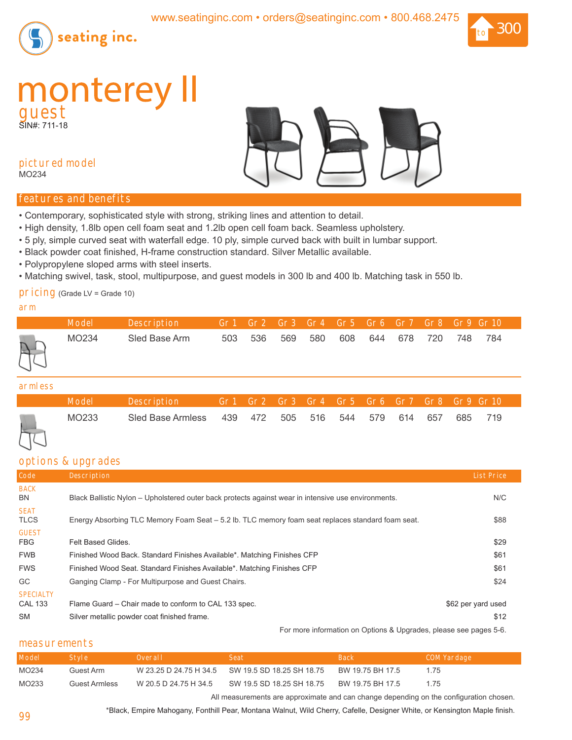



# **monterey** II

SIN#: 711-18



# **pictured model**

MO234

#### **features and benefits**

- Contemporary, sophisticated style with strong, striking lines and attention to detail.
- High density, 1.8lb open cell foam seat and 1.2lb open cell foam back. Seamless upholstery.
- 5 ply, simple curved seat with waterfall edge. 10 ply, simple curved back with built in lumbar support.
- Black powder coat finished, H-frame construction standard. Silver Metallic available.
- Polypropylene sloped arms with steel inserts.
- Matching swivel, task, stool, multipurpose, and guest models in 300 lb and 400 lb. Matching task in 550 lb.

## **pricing** (Grade LV = Grade 10)

#### **arm**

|                | <b>Model</b> | Description           Gr1   Gr2   Gr3   Gr4    Gr5   Gr6   Gr <u>7   Gr8   Gr9  Gr10</u> ' |     |             |  |     |     |         |       |       |  |
|----------------|--------------|--------------------------------------------------------------------------------------------|-----|-------------|--|-----|-----|---------|-------|-------|--|
| $\mathbb{R}^n$ | MO234        | Sled Base Arm                                                                              | 503 | 536 569 580 |  | 608 | 644 | 678 720 | - 748 | - 784 |  |
|                |              |                                                                                            |     |             |  |     |     |         |       |       |  |

#### **armless**

| Model | <b>Description</b>                                        |  |  | Gr1 Gr2 Gr3 Gr4 Gr5 Gr6 Gr7 Gr8 Gr9 Gr10 |  |  |  |
|-------|-----------------------------------------------------------|--|--|------------------------------------------|--|--|--|
| MO233 | Sled Base Armless 439 472 505 516 544 579 614 657 685 719 |  |  |                                          |  |  |  |

#### **options & upgrades**

|                                    | $\sigma$ operations at application                                                                  |                    |
|------------------------------------|-----------------------------------------------------------------------------------------------------|--------------------|
| Code                               | <b>Description</b>                                                                                  | <b>List Price</b>  |
| <b>BACK</b><br>BN                  | Black Ballistic Nylon – Upholstered outer back protects against wear in intensive use environments. | N/C                |
| <b>SEAT</b><br><b>TLCS</b>         | Energy Absorbing TLC Memory Foam Seat - 5.2 lb. TLC memory foam seat replaces standard foam seat.   | \$88               |
| <b>GUEST</b><br><b>FBG</b>         | Felt Based Glides.                                                                                  | \$29               |
| <b>FWB</b>                         | Finished Wood Back. Standard Finishes Available*. Matching Finishes CFP                             | \$61               |
| <b>FWS</b>                         | Finished Wood Seat. Standard Finishes Available*. Matching Finishes CFP                             | \$61               |
| GC                                 | Ganging Clamp - For Multipurpose and Guest Chairs.                                                  | \$24               |
| <b>SPECIALTY</b><br><b>CAL 133</b> | Flame Guard – Chair made to conform to CAL 133 spec.                                                | \$62 per yard used |
| SM                                 | Silver metallic powder coat finished frame.                                                         | \$12               |
|                                    |                                                                                                     |                    |

For more information on Options & Upgrades, please see pages 5-6.

# **measurements**

| <b>Model</b>      | - Style              | Overall | -Seat                                                            | - Back -       | <b>COM Yardage</b> |
|-------------------|----------------------|---------|------------------------------------------------------------------|----------------|--------------------|
| MO <sub>234</sub> | Guest Arm            |         | W 23.25 D 24.75 H 34.5 SW 19.5 SD 18.25 SH 18.75                 | BW 1975 BH 175 | 1/5                |
| MO <sub>233</sub> | <b>Guest Armless</b> |         | W 20.5 D 24.75 H 34.5 SW 19.5 SD 18.25 SH 18.75 BW 19.75 BH 17.5 |                | 1 75               |
|                   |                      |         |                                                                  |                |                    |

All measurements are approximate and can change depending on the configuration chosen.

\*Black, Empire Mahogany, Fonthill Pear, Montana Walnut, Wild Cherry, Cafelle, Designer White, or Kensington Maple finish.